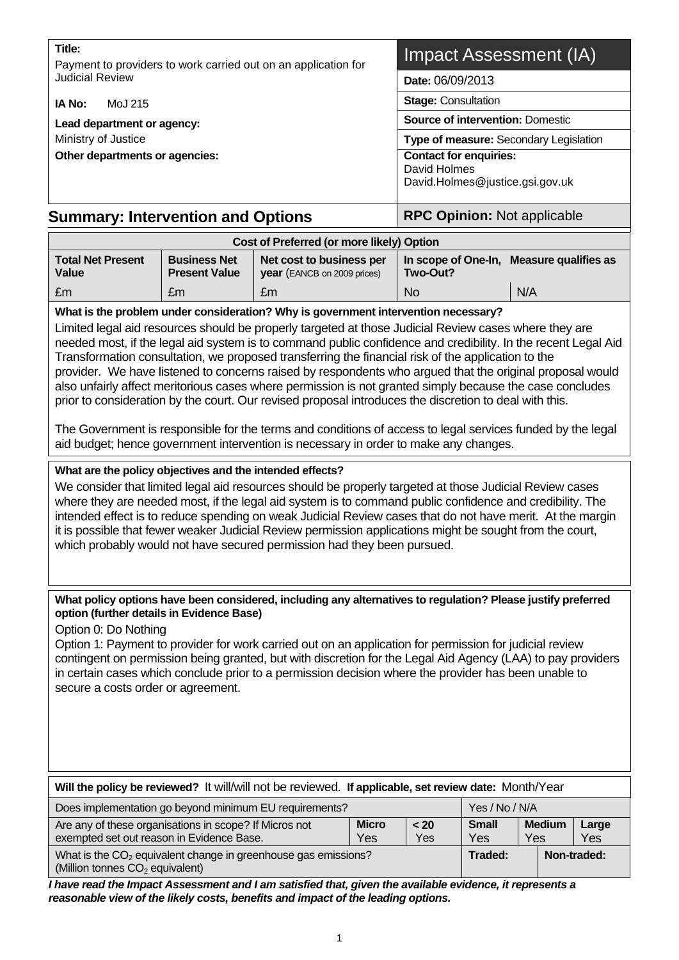#### **Title:**

Payment to providers to work carried out on an application for Judicial Review

**IA No:** MoJ 215

**Lead department or agency:** 

Ministry of Justice

**Other departments or agencies:** 

# Impact Assessment (IA)

**Date:** 06/09/2013

**Stage:** Consultation

**Source of intervention:** Domestic

**Type of measure:** Secondary Legislation

**Contact for enquiries:** David Holmes David.Holmes@justice.gsi.gov.uk

# **Summary: Intervention and Options Fig. 14. All RPC Opinion: Not applicable**

| Cost of Preferred (or more likely) Option |                                             |                                                                |           |                                          |  |
|-------------------------------------------|---------------------------------------------|----------------------------------------------------------------|-----------|------------------------------------------|--|
| <b>Total Net Present</b><br>Value         | <b>Business Net</b><br><b>Present Value</b> | Net cost to business per<br><b>year</b> (EANCB on 2009 prices) | Two-Out?  | In scope of One-In, Measure qualifies as |  |
| ∣£m                                       | £m                                          | £m                                                             | <b>No</b> | N/A                                      |  |

## **What is the problem under consideration? Why is government intervention necessary?**

Limited legal aid resources should be properly targeted at those Judicial Review cases where they are needed most, if the legal aid system is to command public confidence and credibility. In the recent Legal Aid Transformation consultation, we proposed transferring the financial risk of the application to the provider. We have listened to concerns raised by respondents who argued that the original proposal would also unfairly affect meritorious cases where permission is not granted simply because the case concludes prior to consideration by the court. Our revised proposal introduces the discretion to deal with this.

The Government is responsible for the terms and conditions of access to legal services funded by the legal aid budget; hence government intervention is necessary in order to make any changes.

## **What are the policy objectives and the intended effects?**

We consider that limited legal aid resources should be properly targeted at those Judicial Review cases where they are needed most, if the legal aid system is to command public confidence and credibility. The intended effect is to reduce spending on weak Judicial Review cases that do not have merit. At the margin it is possible that fewer weaker Judicial Review permission applications might be sought from the court, which probably would not have secured permission had they been pursued.

#### **What policy options have been considered, including any alternatives to regulation? Please justify preferred option (further details in Evidence Base)**

Option 0: Do Nothing

Option 1: Payment to provider for work carried out on an application for permission for judicial review contingent on permission being granted, but with discretion for the Legal Aid Agency (LAA) to pay providers in certain cases which conclude prior to a permission decision where the provider has been unable to secure a costs order or agreement.

| Will the policy be reviewed? It will/will not be reviewed. If applicable, set review date: Month/Year                                     |  |  |                     |                      |              |  |
|-------------------------------------------------------------------------------------------------------------------------------------------|--|--|---------------------|----------------------|--------------|--|
| Does implementation go beyond minimum EU requirements?<br>Yes / No / N/A                                                                  |  |  |                     |                      |              |  |
| <b>Micro</b><br>Are any of these organisations in scope? If Micros not<br>< 20<br>exempted set out reason in Evidence Base.<br>Yes<br>Yes |  |  | <b>Small</b><br>Yes | <b>Medium</b><br>Yes | Large<br>Yes |  |
| What is the $CO2$ equivalent change in greenhouse gas emissions?<br>(Million tonnes CO <sub>2</sub> equivalent)                           |  |  | Traded:             |                      | Non-traded:  |  |

*I have read the Impact Assessment and I am satisfied that, given the available evidence, it represents a reasonable view of the likely costs, benefits and impact of the leading options.*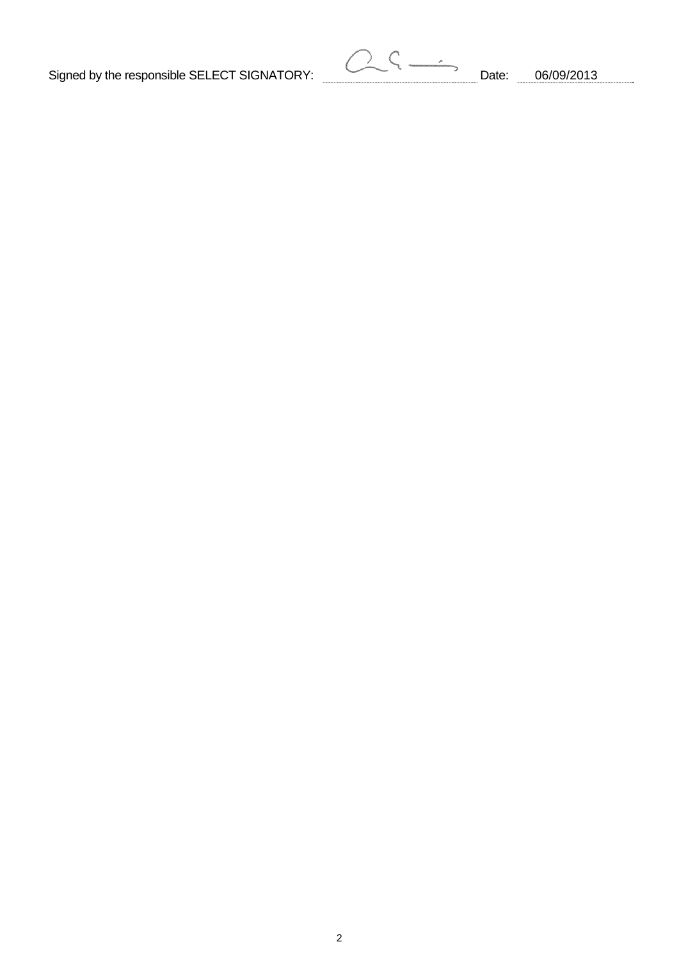Signed by the responsible SELECT SIGNATORY: Date: 06/09/2013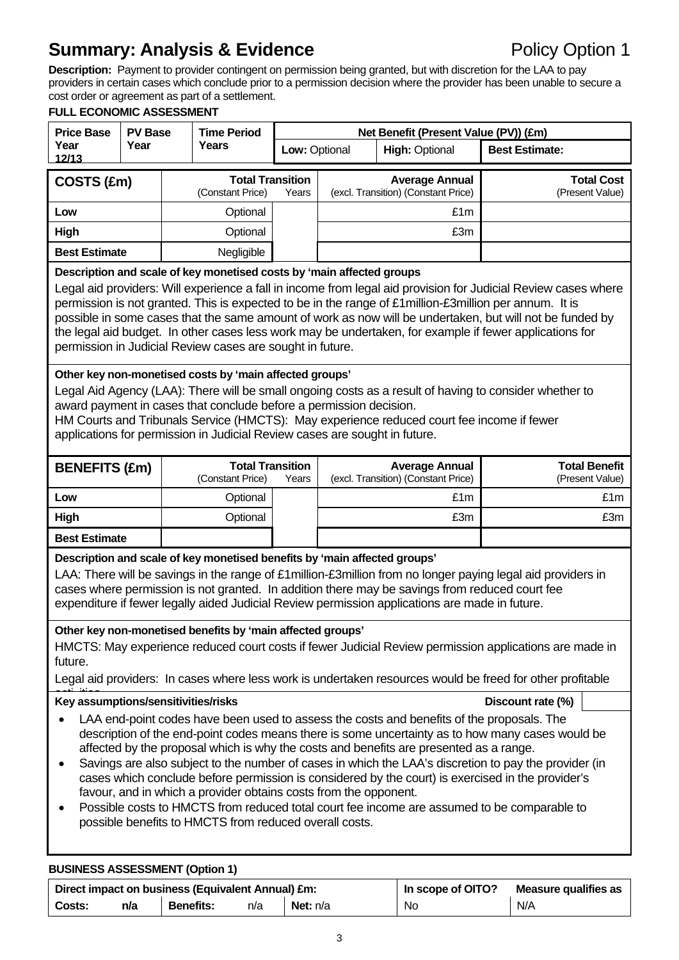# **Summary: Analysis & Evidence Policy Option 1**

**Description:** Payment to provider contingent on permission being granted, but with discretion for the LAA to pay providers in certain cases which conclude prior to a permission decision where the provider has been unable to secure a cost order or agreement as part of a settlement.

#### **FULL ECONOMIC ASSESSMENT Price Base** PV Base Time Period **Net Benefit (Present Value (PV)) (£m)**<br>
Year Year Years **Law Ortings** High Ortinal **Year 12/13 PV Base Year Time Period Low: Optional | High: Optional | Best Estimate: COSTS (£m)** Total Transition<br>
Constant Price) Years (Constant Price) **Average Annual**  (excl. Transition) (Constant Price) **Total Cost** (Present Value) **Low http://doi.org/finalism\_inducerent control control control control control control control control control High** Optional £3m **Best Estimate a** Negligible **Description and scale of key monetised costs by 'main affected groups**  Legal aid providers: Will experience a fall in income from legal aid provision for Judicial Review cases where permission is not granted. This is expected to be in the range of £1million-£3million per annum. It is possible in some cases that the same amount of work as now will be undertaken, but will not be funded by the legal aid budget. In other cases less work may be undertaken, for example if fewer applications for permission in Judicial Review cases are sought in future. **Other key non-monetised costs by 'main affected groups'**  Legal Aid Agency (LAA): There will be small ongoing costs as a result of having to consider whether to award payment in cases that conclude before a permission decision. HM Courts and Tribunals Service (HMCTS): May experience reduced court fee income if fewer applications for permission in Judicial Review cases are sought in future. **BENEFITS (£m)** Total Transition<br>
Constant Price) Years (Constant Price) **Average Annual**  (excl. Transition) (Constant Price) **Total Benefit** (Present Value) **Low** Optional £1m £1m **High** Optional £3m £3m **Best Estimate Description and scale of key monetised benefits by 'main affected groups'**  LAA: There will be savings in the range of £1 million-£3 million from no longer paying legal aid providers in cases where permission is not granted. In addition there may be savings from reduced court fee expenditure if fewer legally aided Judicial Review permission applications are made in future. **Other key non-monetised benefits by 'main affected groups'**  HMCTS: May experience reduced court costs if fewer Judicial Review permission applications are made in future. Legal aid providers: In cases where less work is undertaken resources would be freed for other profitable Key assumptions/sensitivities/risks **New Sensitivities** Contract C<sub>1</sub>%) LAA end-point codes have been used to assess the costs and benefits of the proposals. The description of the end-point codes means there is some uncertainty as to how many cases would be affected by the proposal which is why the costs and benefits are presented as a range. Savings are also subject to the number of cases in which the LAA's discretion to pay the provider (in cases which conclude before permission is considered by the court) is exercised in the provider's favour, and in which a provider obtains costs from the opponent. Possible costs to HMCTS from reduced total court fee income are assumed to be comparable to possible benefits to HMCTS from reduced overall costs. **BUSINESS ASSESSMENT (Option 1)**

| Direct impact on business (Equivalent Annual) £m: |     |                  | In scope of OITO? | Measure qualifies as |    |     |
|---------------------------------------------------|-----|------------------|-------------------|----------------------|----|-----|
| Costs:                                            | n/a | <b>Benefits:</b> | n/a               | <b>Net:</b> $n/a$    | No | N/A |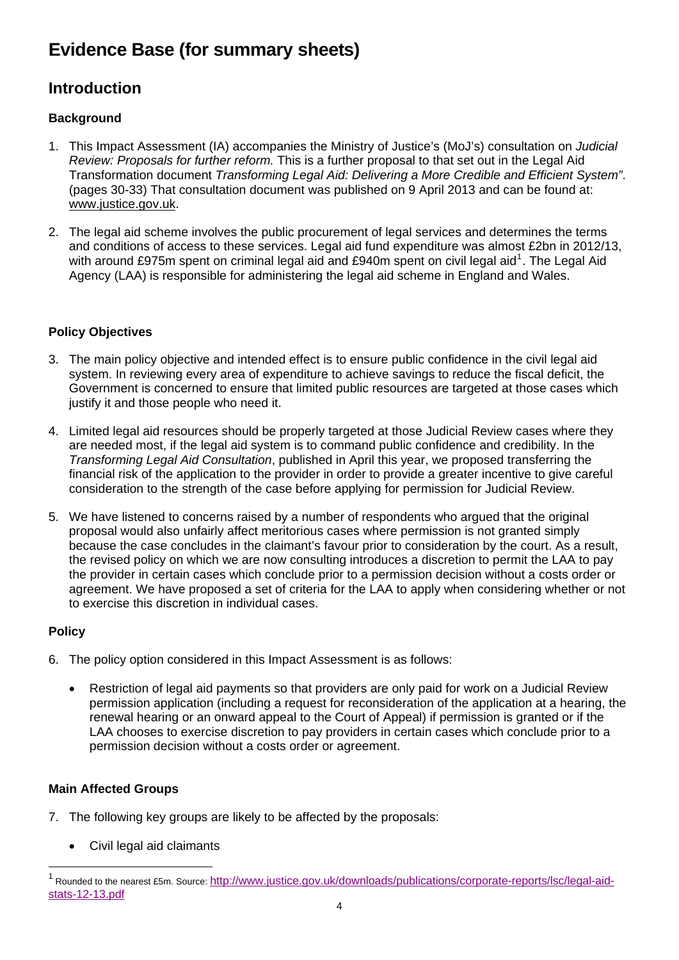# **Evidence Base (for summary sheets)**

# **Introduction**

# **Background**

- 1. This Impact Assessment (IA) accompanies the Ministry of Justice's (MoJ's) consultation on *Judicial Review: Proposals for further reform.* This is a further proposal to that set out in the Legal Aid Transformation document *Transforming Legal Aid: Delivering a More Credible and Efficient System"*. (pages 30-33) That consultation document was published on 9 April 2013 and can be found at: [www.justice.gov.uk](http://www.justice.gov.uk/).
- 2. The legal aid scheme involves the public procurement of legal services and determines the terms and conditions of access to these services. Legal aid fund expenditure was almost £2bn in 2012/13, with around £975m spent on criminal legal aid and £940m spent on civil legal aid<sup>[1](#page-3-0)</sup>. The Legal Aid Agency (LAA) is responsible for administering the legal aid scheme in England and Wales.

# **Policy Objectives**

- 3. The main policy objective and intended effect is to ensure public confidence in the civil legal aid system. In reviewing every area of expenditure to achieve savings to reduce the fiscal deficit, the Government is concerned to ensure that limited public resources are targeted at those cases which justify it and those people who need it.
- 4. Limited legal aid resources should be properly targeted at those Judicial Review cases where they are needed most, if the legal aid system is to command public confidence and credibility. In the *Transforming Legal Aid Consultation*, published in April this year, we proposed transferring the financial risk of the application to the provider in order to provide a greater incentive to give careful consideration to the strength of the case before applying for permission for Judicial Review.
- 5. We have listened to concerns raised by a number of respondents who argued that the original proposal would also unfairly affect meritorious cases where permission is not granted simply because the case concludes in the claimant's favour prior to consideration by the court. As a result, the revised policy on which we are now consulting introduces a discretion to permit the LAA to pay the provider in certain cases which conclude prior to a permission decision without a costs order or agreement. We have proposed a set of criteria for the LAA to apply when considering whether or not to exercise this discretion in individual cases.

# **Policy**

l

- 6. The policy option considered in this Impact Assessment is as follows:
	- Restriction of legal aid payments so that providers are only paid for work on a Judicial Review permission application (including a request for reconsideration of the application at a hearing, the renewal hearing or an onward appeal to the Court of Appeal) if permission is granted or if the LAA chooses to exercise discretion to pay providers in certain cases which conclude prior to a permission decision without a costs order or agreement.

# **Main Affected Groups**

- 7. The following key groups are likely to be affected by the proposals:
	- Civil legal aid claimants

<span id="page-3-0"></span><sup>1</sup> Rounded to the nearest £5m. Source: [http://www.justice.gov.uk/downloads/publications/corporate-reports/lsc/legal-aid](http://www.justice.gov.uk/downloads/publications/corporate-reports/lsc/legal-aid-stats-12-13.pdf)[stats-12-13.pdf](http://www.justice.gov.uk/downloads/publications/corporate-reports/lsc/legal-aid-stats-12-13.pdf)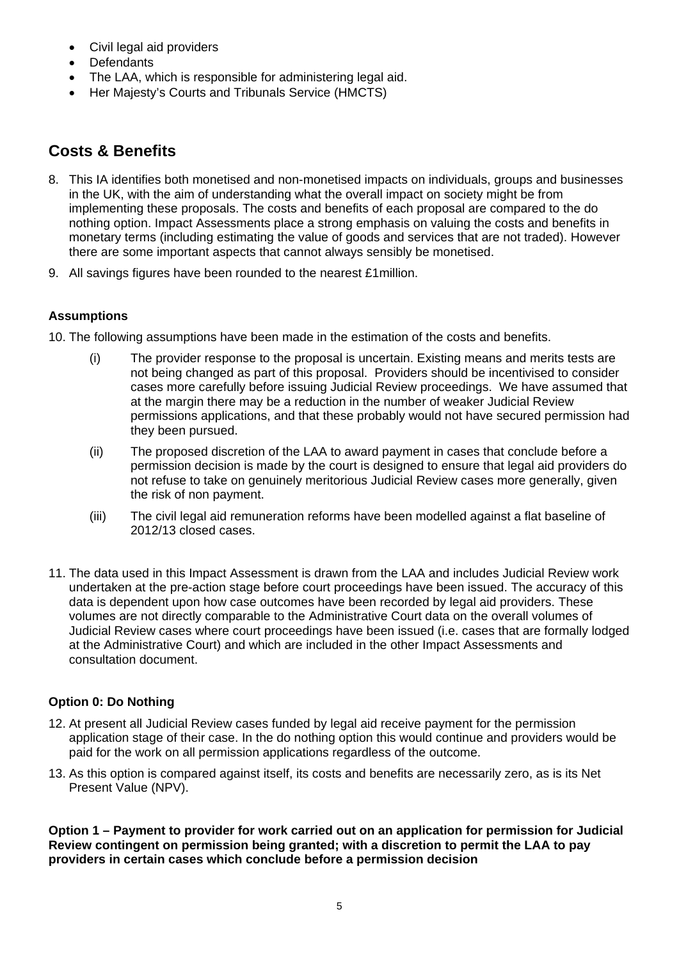- Civil legal aid providers
- Defendants
- The LAA, which is responsible for administering legal aid.
- Her Majesty's Courts and Tribunals Service (HMCTS)

# **Costs & Benefits**

- 8. This IA identifies both monetised and non-monetised impacts on individuals, groups and businesses in the UK, with the aim of understanding what the overall impact on society might be from implementing these proposals. The costs and benefits of each proposal are compared to the do nothing option. Impact Assessments place a strong emphasis on valuing the costs and benefits in monetary terms (including estimating the value of goods and services that are not traded). However there are some important aspects that cannot always sensibly be monetised.
- 9. All savings figures have been rounded to the nearest £1million.

# **Assumptions**

10. The following assumptions have been made in the estimation of the costs and benefits.

- (i) The provider response to the proposal is uncertain. Existing means and merits tests are not being changed as part of this proposal. Providers should be incentivised to consider cases more carefully before issuing Judicial Review proceedings. We have assumed that at the margin there may be a reduction in the number of weaker Judicial Review permissions applications, and that these probably would not have secured permission had they been pursued.
- (ii) The proposed discretion of the LAA to award payment in cases that conclude before a permission decision is made by the court is designed to ensure that legal aid providers do not refuse to take on genuinely meritorious Judicial Review cases more generally, given the risk of non payment.
- (iii) The civil legal aid remuneration reforms have been modelled against a flat baseline of 2012/13 closed cases.
- 11. The data used in this Impact Assessment is drawn from the LAA and includes Judicial Review work undertaken at the pre-action stage before court proceedings have been issued. The accuracy of this data is dependent upon how case outcomes have been recorded by legal aid providers. These volumes are not directly comparable to the Administrative Court data on the overall volumes of Judicial Review cases where court proceedings have been issued (i.e. cases that are formally lodged at the Administrative Court) and which are included in the other Impact Assessments and consultation document.

# **Option 0: Do Nothing**

- 12. At present all Judicial Review cases funded by legal aid receive payment for the permission application stage of their case. In the do nothing option this would continue and providers would be paid for the work on all permission applications regardless of the outcome.
- 13. As this option is compared against itself, its costs and benefits are necessarily zero, as is its Net Present Value (NPV).

**Option 1 – Payment to provider for work carried out on an application for permission for Judicial Review contingent on permission being granted; with a discretion to permit the LAA to pay providers in certain cases which conclude before a permission decision**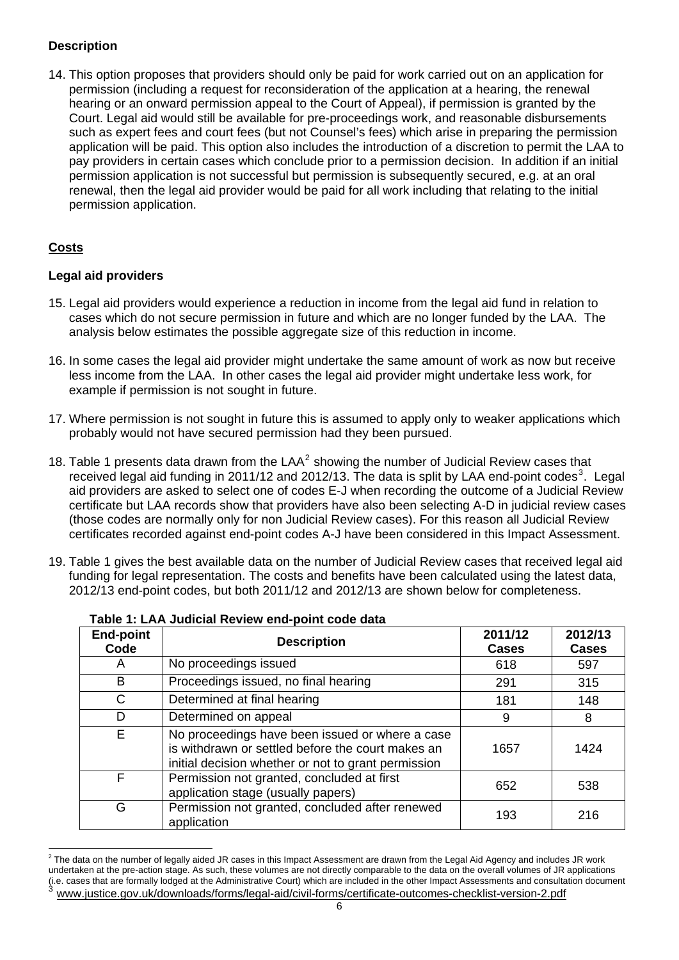# **Description**

14. This option proposes that providers should only be paid for work carried out on an application for permission (including a request for reconsideration of the application at a hearing, the renewal hearing or an onward permission appeal to the Court of Appeal), if permission is granted by the Court. Legal aid would still be available for pre-proceedings work, and reasonable disbursements such as expert fees and court fees (but not Counsel's fees) which arise in preparing the permission application will be paid. This option also includes the introduction of a discretion to permit the LAA to pay providers in certain cases which conclude prior to a permission decision. In addition if an initial permission application is not successful but permission is subsequently secured, e.g. at an oral renewal, then the legal aid provider would be paid for all work including that relating to the initial permission application.

## **Costs**

l

## **Legal aid providers**

- 15. Legal aid providers would experience a reduction in income from the legal aid fund in relation to cases which do not secure permission in future and which are no longer funded by the LAA. The analysis below estimates the possible aggregate size of this reduction in income.
- 16. In some cases the legal aid provider might undertake the same amount of work as now but receive less income from the LAA. In other cases the legal aid provider might undertake less work, for example if permission is not sought in future.
- 17. Where permission is not sought in future this is assumed to apply only to weaker applications which probably would not have secured permission had they been pursued.
- 18. Table 1 presents data drawn from the  $LAA<sup>2</sup>$  $LAA<sup>2</sup>$  $LAA<sup>2</sup>$  showing the number of Judicial Review cases that received legal aid funding in 2011/12 and 2012/1[3](#page-5-1). The data is split by LAA end-point codes<sup>3</sup>. Legal aid providers are asked to select one of codes E-J when recording the outcome of a Judicial Review certificate but LAA records show that providers have also been selecting A-D in judicial review cases (those codes are normally only for non Judicial Review cases). For this reason all Judicial Review certificates recorded against end-point codes A-J have been considered in this Impact Assessment.
- 19. Table 1 gives the best available data on the number of Judicial Review cases that received legal aid funding for legal representation. The costs and benefits have been calculated using the latest data, 2012/13 end-point codes, but both 2011/12 and 2012/13 are shown below for completeness.

| <b>End-point</b><br>Code | <b>Description</b>                                                                                                                                          | 2011/12<br><b>Cases</b> | 2012/13<br><b>Cases</b> |
|--------------------------|-------------------------------------------------------------------------------------------------------------------------------------------------------------|-------------------------|-------------------------|
| A                        | No proceedings issued                                                                                                                                       | 618                     | 597                     |
| B                        | Proceedings issued, no final hearing                                                                                                                        | 291                     | 315                     |
| $\mathsf{C}$             | Determined at final hearing                                                                                                                                 | 181                     | 148                     |
| D                        | Determined on appeal                                                                                                                                        | 9                       | 8                       |
| E                        | No proceedings have been issued or where a case<br>is withdrawn or settled before the court makes an<br>initial decision whether or not to grant permission | 1657                    | 1424                    |
| F                        | Permission not granted, concluded at first<br>application stage (usually papers)                                                                            | 652                     | 538                     |
| G                        | Permission not granted, concluded after renewed<br>application                                                                                              | 193                     | 216                     |

| Table 1: LAA Judicial Review end-point code data |  |  |  |  |
|--------------------------------------------------|--|--|--|--|
|--------------------------------------------------|--|--|--|--|

<span id="page-5-1"></span><span id="page-5-0"></span> $^2$  The data on the number of legally aided JR cases in this Impact Assessment are drawn from the Legal Aid Agency and includes JR work undertaken at the pre-action stage. As such, these volumes are not directly comparable to the data on the overall volumes of JR applications (i.e. cases that are formally lodged at the Administrative Court) which are included in the other Impact Assessments and consultation document <sup>3</sup> [www.justice.gov.uk/downloads/forms/legal-aid/civil-forms/certificate-outcomes-checklist-version-2.pdf](http://www.justice.gov.uk/downloads/forms/legal-aid/civil-forms/certificate-outcomes-checklist-version-2.pdf)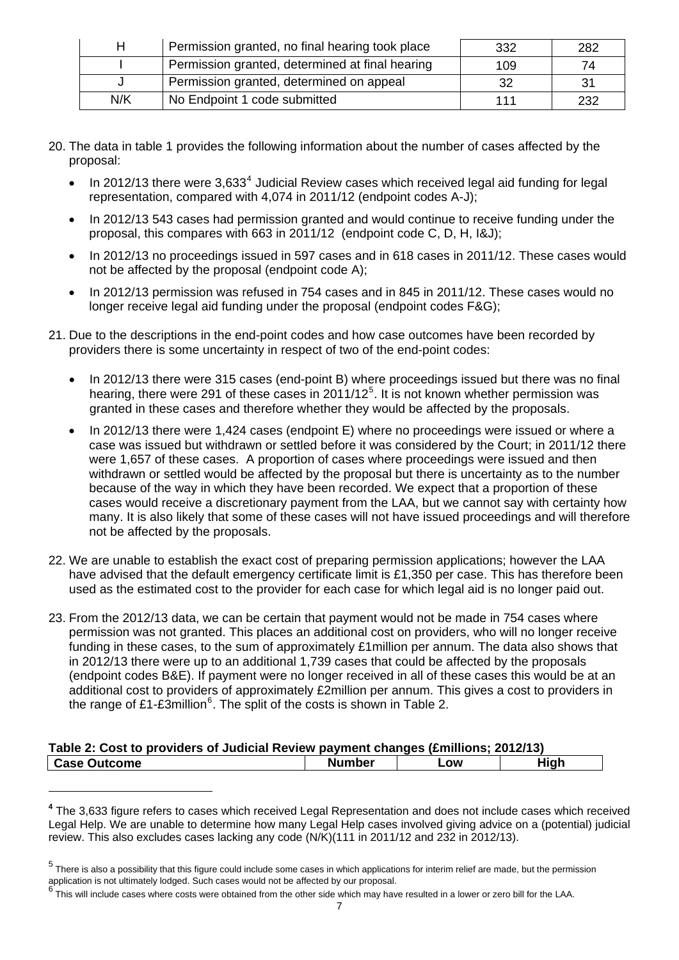| н   | Permission granted, no final hearing took place | 332 | 282 |
|-----|-------------------------------------------------|-----|-----|
|     | Permission granted, determined at final hearing | 109 | 74  |
|     | Permission granted, determined on appeal        | 32  | 31  |
| N/K | No Endpoint 1 code submitted                    | 111 | 232 |

- 20. The data in table 1 provides the following information about the number of cases affected by the proposal:
	- $\bullet$  In 2012/13 there were 3,633<sup>[4](#page-6-0)</sup> Judicial Review cases which received legal aid funding for legal representation, compared with 4,074 in 2011/12 (endpoint codes A-J);
	- In 2012/13 543 cases had permission granted and would continue to receive funding under the proposal, this compares with 663 in 2011/12 (endpoint code C, D, H, I&J);
	- In 2012/13 no proceedings issued in 597 cases and in 618 cases in 2011/12. These cases would not be affected by the proposal (endpoint code A);
	- In 2012/13 permission was refused in 754 cases and in 845 in 2011/12. These cases would no longer receive legal aid funding under the proposal (endpoint codes F&G);
- 21. Due to the descriptions in the end-point codes and how case outcomes have been recorded by providers there is some uncertainty in respect of two of the end-point codes:
	- In 2012/13 there were 315 cases (end-point B) where proceedings issued but there was no final hearing, there were 291 of these cases in 2011/12<sup>[5](#page-6-1)</sup>. It is not known whether permission was granted in these cases and therefore whether they would be affected by the proposals.
	- In 2012/13 there were 1,424 cases (endpoint E) where no proceedings were issued or where a case was issued but withdrawn or settled before it was considered by the Court; in 2011/12 there were 1,657 of these cases. A proportion of cases where proceedings were issued and then withdrawn or settled would be affected by the proposal but there is uncertainty as to the number because of the way in which they have been recorded. We expect that a proportion of these cases would receive a discretionary payment from the LAA, but we cannot say with certainty how many. It is also likely that some of these cases will not have issued proceedings and will therefore not be affected by the proposals.
- 22. We are unable to establish the exact cost of preparing permission applications; however the LAA have advised that the default emergency certificate limit is £1,350 per case. This has therefore been used as the estimated cost to the provider for each case for which legal aid is no longer paid out.
- 23. From the 2012/13 data, we can be certain that payment would not be made in 754 cases where permission was not granted. This places an additional cost on providers, who will no longer receive funding in these cases, to the sum of approximately £1million per annum. The data also shows that in 2012/13 there were up to an additional 1,739 cases that could be affected by the proposals (endpoint codes B&E). If payment were no longer received in all of these cases this would be at an additional cost to providers of approximately £2million per annum. This gives a cost to providers in the range of £1-£3million<sup>[6](#page-6-2)</sup>. The split of the costs is shown in Table 2.

| Table 2: Cost to providers of Judicial Review payment changes (£millions; 2012/13) |               |     |      |  |  |
|------------------------------------------------------------------------------------|---------------|-----|------|--|--|
| l Case Outcome                                                                     | <b>Number</b> | _OW | High |  |  |

l

<span id="page-6-0"></span>**<sup>4</sup>** The 3,633 figure refers to cases which received Legal Representation and does not include cases which received Legal Help. We are unable to determine how many Legal Help cases involved giving advice on a (potential) judicial review. This also excludes cases lacking any code (N/K)(111 in 2011/12 and 232 in 2012/13).

<span id="page-6-1"></span><sup>&</sup>lt;sup>5</sup> There is also a possibility that this figure could include some cases in which applications for interim relief are made, but the permission application is not ultimately lodged. Such cases would not be affected by our proposal.

<span id="page-6-2"></span><sup>6&</sup>lt;sup>1</sup> This will include cases where costs were obtained from the other side which may have resulted in a lower or zero bill for the LAA.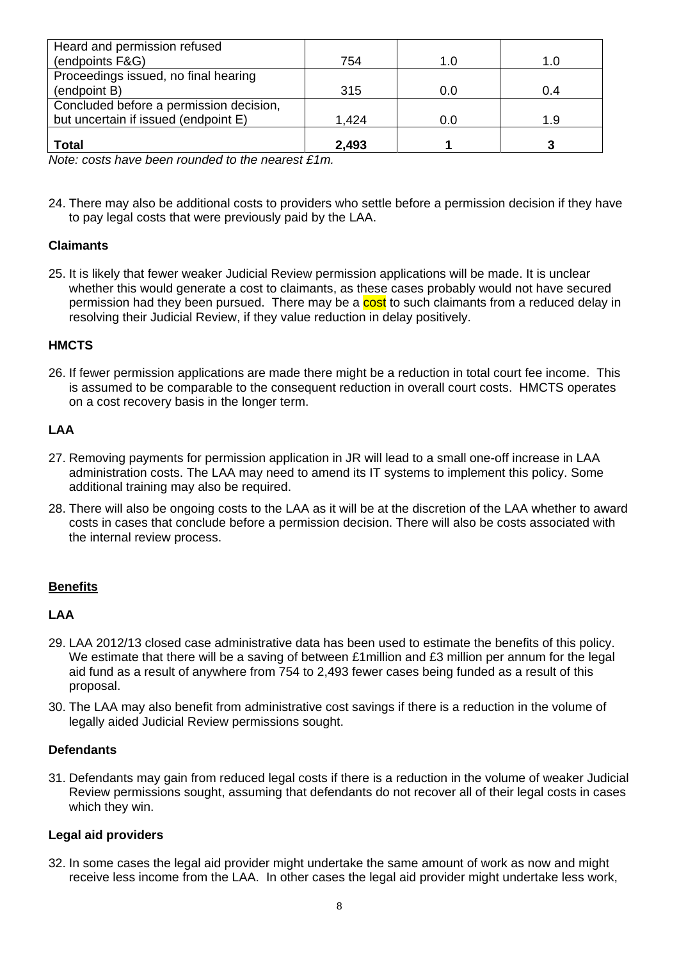| Heard and permission refused                                                                                                                         |       |     |     |
|------------------------------------------------------------------------------------------------------------------------------------------------------|-------|-----|-----|
| (endpoints F&G)                                                                                                                                      | 754   | 1.0 | 1.0 |
| Proceedings issued, no final hearing                                                                                                                 |       |     |     |
| (endpoint B)                                                                                                                                         | 315   | 0.0 | 0.4 |
| Concluded before a permission decision,                                                                                                              |       |     |     |
| but uncertain if issued (endpoint E)                                                                                                                 | 1.424 | 0.0 | 1.9 |
|                                                                                                                                                      |       |     |     |
| <b>Total</b><br>$\mathbf{M}$ , $\mathbf{M}$ , $\mathbf{M}$ , $\mathbf{M}$ , $\mathbf{M}$ , $\mathbf{M}$ , $\mathbf{M}$ , $\mathbf{M}$ , $\mathbf{M}$ | 2,493 |     |     |

*Note: costs have been rounded to the nearest £1m.*

24. There may also be additional costs to providers who settle before a permission decision if they have to pay legal costs that were previously paid by the LAA.

#### **Claimants**

25. It is likely that fewer weaker Judicial Review permission applications will be made. It is unclear whether this would generate a cost to claimants, as these cases probably would not have secured permission had they been pursued. There may be a cost to such claimants from a reduced delay in resolving their Judicial Review, if they value reduction in delay positively.

#### **HMCTS**

26. If fewer permission applications are made there might be a reduction in total court fee income. This is assumed to be comparable to the consequent reduction in overall court costs. HMCTS operates on a cost recovery basis in the longer term.

#### **LAA**

- 27. Removing payments for permission application in JR will lead to a small one-off increase in LAA administration costs. The LAA may need to amend its IT systems to implement this policy. Some additional training may also be required.
- 28. There will also be ongoing costs to the LAA as it will be at the discretion of the LAA whether to award costs in cases that conclude before a permission decision. There will also be costs associated with the internal review process.

#### **Benefits**

#### **LAA**

- 29. LAA 2012/13 closed case administrative data has been used to estimate the benefits of this policy. We estimate that there will be a saving of between £1 million and £3 million per annum for the legal aid fund as a result of anywhere from 754 to 2,493 fewer cases being funded as a result of this proposal.
- 30. The LAA may also benefit from administrative cost savings if there is a reduction in the volume of legally aided Judicial Review permissions sought.

#### **Defendants**

31. Defendants may gain from reduced legal costs if there is a reduction in the volume of weaker Judicial Review permissions sought, assuming that defendants do not recover all of their legal costs in cases which they win.

#### **Legal aid providers**

32. In some cases the legal aid provider might undertake the same amount of work as now and might receive less income from the LAA. In other cases the legal aid provider might undertake less work,